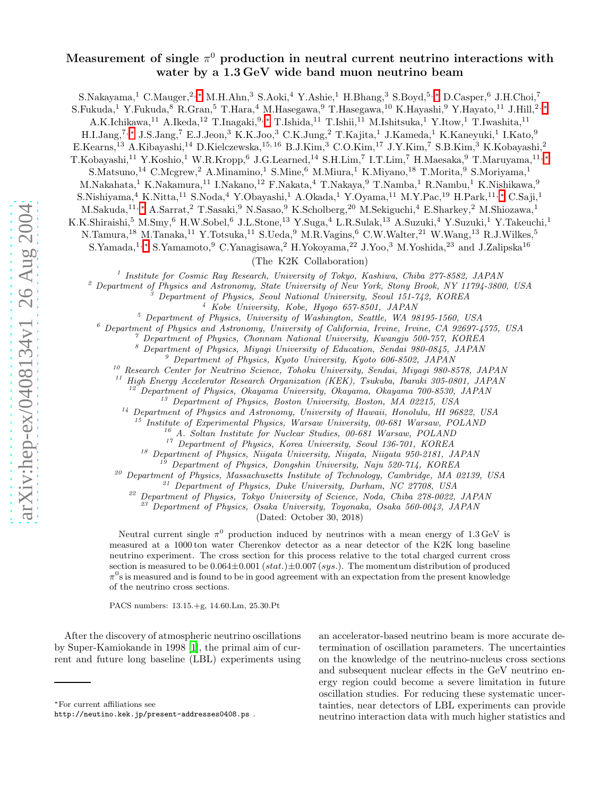## Measurement of single  $\pi^0$  production in neutral current neutrino interactions with water by a 1.3 GeV wide band muon neutrino beam

S.Nakayama,<sup>1</sup> C.Mauger,<sup>2,\*</sup> M.H.Ahn,<sup>3</sup> S.Aoki,<sup>4</sup> Y.Ashie,<sup>1</sup> H.Bhang,<sup>3</sup> S.Boyd,<sup>5,\*</sup> D.Casper,<sup>6</sup> J.H.Choi,<sup>7</sup>

S.Fukuda,<sup>1</sup> Y.Fukuda,<sup>8</sup> R.Gran,<sup>5</sup> T.Hara,<sup>4</sup> M.Hasegawa,<sup>9</sup> T.Hasegawa,<sup>10</sup> K.Hayashi,<sup>9</sup> Y.Hayato,<sup>11</sup> J.Hill,<sup>2,\*</sup>

A.K.Ichikawa,<sup>11</sup> A.Ikeda,<sup>12</sup> T.Inagaki,<sup>9,\*</sup> T.Ishida,<sup>11</sup> T.Ishii,<sup>11</sup> M.Ishitsuka,<sup>1</sup> Y.Itow,<sup>1</sup> T.Iwashita,<sup>11</sup>

H.I.Jang,<sup>7,\*</sup> J.S.Jang,<sup>7</sup> E.J.Jeon,<sup>3</sup> K.K.Joo,<sup>3</sup> C.K.Jung,<sup>2</sup> T.Kajita,<sup>1</sup> J.Kameda,<sup>1</sup> K.Kaneyuki,<sup>1</sup> I.Kato,<sup>9</sup>

 $E.Kearns, ^{13}$  A.Kibayashi, $^{14}$  D.Kielczewska, $^{15,16}$  B.J.Kim, $^3$  C.O.Kim, $^{17}$  J.Y.Kim, $^7$  S.B.Kim, $^3$  K.Kobayashi, $^2$ 

T.Kobayashi,<sup>11</sup> Y.Koshio,<sup>1</sup> W.R.Kropp,<sup>6</sup> J.G.Learned,<sup>14</sup> S.H.Lim,<sup>7</sup> I.T.Lim,<sup>7</sup> H.Maesaka,<sup>9</sup> T.Maruyama,<sup>11,\*</sup>

S.Matsuno,<sup>14</sup> C.Mcgrew,<sup>2</sup> A.Minamino,<sup>1</sup> S.Mine,<sup>6</sup> M.Miura,<sup>1</sup> K.Miyano,<sup>18</sup> T.Morita,<sup>9</sup> S.Moriyama,<sup>1</sup>

M.Nakahata,<sup>1</sup> K.Nakamura,<sup>11</sup> I.Nakano,<sup>12</sup> F.Nakata,<sup>4</sup> T.Nakaya,<sup>9</sup> T.Namba,<sup>1</sup> R.Nambu,<sup>1</sup> K.Nishikawa,<sup>9</sup>

S.Nishiyama,<sup>4</sup> K.Nitta,<sup>11</sup> S.Noda,<sup>4</sup> Y.Obayashi,<sup>1</sup> A.Okada,<sup>1</sup> Y.Oyama,<sup>11</sup> M.Y.Pac,<sup>19</sup> H.Park,<sup>11,\*</sup> C.Saji,<sup>1</sup>

M.Sakuda,<sup>11,</sup>\* A.Sarrat,<sup>2</sup> T.Sasaki,<sup>9</sup> N.Sasao,<sup>9</sup> K.Scholberg,<sup>20</sup> M.Sekiguchi,<sup>4</sup> E.Sharkey,<sup>2</sup> M.Shiozawa,<sup>1</sup>

K.K.Shiraishi,<sup>5</sup> M.Smy,<sup>6</sup> H.W.Sobel,<sup>6</sup> J.L.Stone,<sup>13</sup> Y.Suga,<sup>4</sup> L.R.Sulak,<sup>13</sup> A.Suzuki,<sup>4</sup> Y.Suzuki,<sup>1</sup> Y.Takeuchi,<sup>1</sup>

N.Tamura,<sup>18</sup> M.Tanaka,<sup>11</sup> Y.Totsuka,<sup>11</sup> S.Ueda,<sup>9</sup> M.R.Vagins,<sup>6</sup> C.W.Walter,<sup>21</sup> W.Wang,<sup>13</sup> R.J.Wilkes,<sup>5</sup>

S.Yamada,<sup>1,</sup>\* S.Yamamoto,<sup>9</sup> C.Yanagisawa,<sup>2</sup> H.Yokoyama,<sup>22</sup> J.Yoo,<sup>3</sup> M.Yoshida,<sup>23</sup> and J.Zalipska<sup>16</sup>

(The K2K Collaboration)

<sup>1</sup> Institute for Cosmic Ray Research, University of Tokyo, Kashiwa, Chiba 277-8582, JAPAN

 $\footnotesize ^2$  Department of Physics and Astronomy, State University of New York, Stony Brook, NY 11794-3800, USA<br>  $\footnotesize ^3$  Department of Physics, Seoul National University, Seoul 151-742, KOREA<br>  $\footnotesize ^4$  Kobe University, Kobe,

<sup>10</sup> Research Center for Neutrino Science, Tohoku University, Sendai, Miyagi 980-8578, JAPAN

<sup>11</sup> High Energy Accelerator Research Organization (KEK), Tsukuba, Ibaraki 305-0801, JAPAN

<sup>12</sup> Department of Physics, Okayama University, Okayama, Okayama 700-8530, JAPAN

<sup>13</sup> Department of Physics, Boston University, Boston, MA 02215, USA

<sup>14</sup> Department of Physics and Astronomy, University of Hawaii, Honolulu, HI 96822, USA

<sup>15</sup> Institute of Experimental Physics, Warsaw University, 00-681 Warsaw, POLAND

<sup>16</sup> A. Soltan Institute for Nuclear Studies, 00-681 Warsaw, POLAND

 $^{17}$  Department of Physics, Korea University, Seoul 136-701, KOREA

<sup>18</sup> Department of Physics, Niigata University, Niigata, Niigata 950-2181, JAPAN

<sup>19</sup> Department of Physics, Dongshin University, Naju 520-714, KOREA

<sup>20</sup> Department of Physics, Massachusetts Institute of Technology, Cambridge, MA 02139, USA

 $21$  Department of Physics, Duke University, Durham, NC 27708, USA

<sup>22</sup> Department of Physics, Tokyo University of Science, Noda, Chiba 278-0022, JAPAN

<sup>23</sup> Department of Physics, Osaka University, Toyonaka, Osaka 560-0043, JAPAN

(Dated: October 30, 2018)

Neutral current single  $\pi^0$  production induced by neutrinos with a mean energy of 1.3 GeV is measured at a 1000 ton water Cherenkov detector as a near detector of the K2K long baseline neutrino experiment. The cross section for this process relative to the total charged current cross section is measured to be  $0.064 \pm 0.001$  (stat.) $\pm 0.007$  (sys.). The momentum distribution of produced  $\pi^0$ s is measured and is found to be in good agreement with an expectation from the present knowledge of the neutrino cross sections.

PACS numbers: 13.15.+g, 14.60.Lm, 25.30.Pt

After the discovery of atmospheric neutrino oscillations by Super-Kamiokande in 1998 [\[1](#page-5-0)], the primal aim of current and future long baseline (LBL) experiments using

an accelerator-based neutrino beam is more accurate determination of oscillation parameters. The uncertainties on the knowledge of the neutrino-nucleus cross sections and subsequent nuclear effects in the GeV neutrino energy region could become a severe limitation in future oscillation studies. For reducing these systematic uncertainties, near detectors of LBL experiments can provide neutrino interaction data with much higher statistics and

<span id="page-0-0"></span><sup>∗</sup>For current affiliations see

http://neutino.kek.jp/present-addresses0408.ps .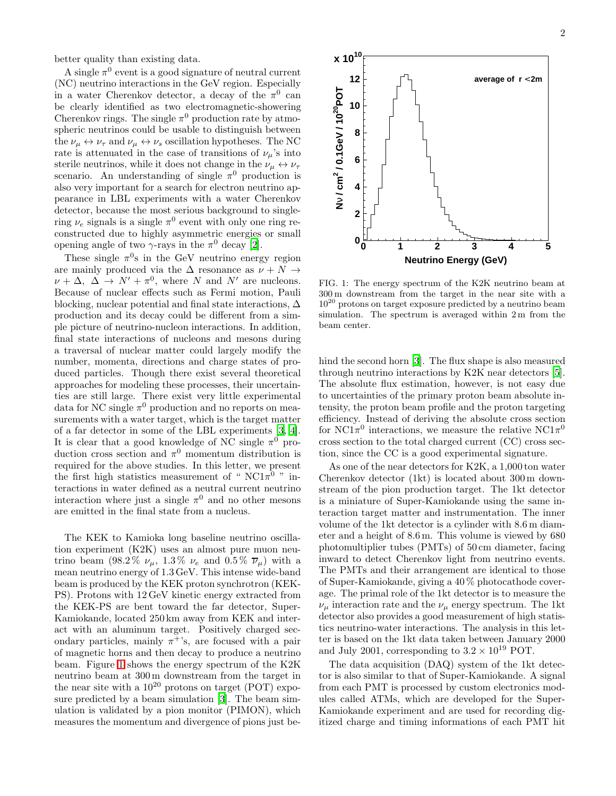better quality than existing data.

A single  $\pi^0$  event is a good signature of neutral current (NC) neutrino interactions in the GeV region. Especially in a water Cherenkov detector, a decay of the  $\pi^0$  can be clearly identified as two electromagnetic-showering Cherenkov rings. The single  $\pi^0$  production rate by atmospheric neutrinos could be usable to distinguish between the  $\nu_{\mu} \leftrightarrow \nu_{\tau}$  and  $\nu_{\mu} \leftrightarrow \nu_{s}$  oscillation hypotheses. The NC rate is attenuated in the case of transitions of  $\nu_\mu$ 's into sterile neutrinos, while it does not change in the  $\nu_{\mu} \leftrightarrow \nu_{\tau}$ scenario. An understanding of single  $\pi^0$  production is also very important for a search for electron neutrino appearance in LBL experiments with a water Cherenkov detector, because the most serious background to singlering  $\nu_e$  signals is a single  $\pi^0$  event with only one ring reconstructed due to highly asymmetric energies or small opening angle of two  $\gamma$ -rays in the  $\pi^0$  decay [\[2\]](#page-5-1).

These single  $\pi^0$ s in the GeV neutrino energy region are mainly produced via the  $\Delta$  resonance as  $\nu + N \rightarrow$  $\nu + \Delta$ ,  $\Delta \rightarrow N' + \pi^0$ , where N and N' are nucleons. Because of nuclear effects such as Fermi motion, Pauli blocking, nuclear potential and final state interactions,  $\Delta$ production and its decay could be different from a simple picture of neutrino-nucleon interactions. In addition, final state interactions of nucleons and mesons during a traversal of nuclear matter could largely modify the number, momenta, directions and charge states of produced particles. Though there exist several theoretical approaches for modeling these processes, their uncertainties are still large. There exist very little experimental data for NC single  $\pi^0$  production and no reports on measurements with a water target, which is the target matter of a far detector in some of the LBL experiments [\[3](#page-5-2), [4\]](#page-5-3). It is clear that a good knowledge of NC single  $\pi^0$  production cross section and  $\pi^0$  momentum distribution is required for the above studies. In this letter, we present the first high statistics measurement of " $NC1\pi^0$ " interactions in water defined as a neutral current neutrino interaction where just a single  $\pi^0$  and no other mesons are emitted in the final state from a nucleus.

The KEK to Kamioka long baseline neutrino oscillation experiment (K2K) uses an almost pure muon neutrino beam (98.2%  $\nu_{\mu}$ , 1.3%  $\nu_{e}$  and 0.5%  $\overline{\nu}_{\mu}$ ) with a mean neutrino energy of 1.3 GeV. This intense wide-band beam is produced by the KEK proton synchrotron (KEK-PS). Protons with 12 GeV kinetic energy extracted from the KEK-PS are bent toward the far detector, Super-Kamiokande, located 250 km away from KEK and interact with an aluminum target. Positively charged secondary particles, mainly  $\pi^+$ 's, are focused with a pair of magnetic horns and then decay to produce a neutrino beam. Figure [1](#page-1-0) shows the energy spectrum of the K2K neutrino beam at 300 m downstream from the target in the near site with a  $10^{20}$  protons on target (POT) exposure predicted by a beam simulation [\[3\]](#page-5-2). The beam simulation is validated by a pion monitor (PIMON), which measures the momentum and divergence of pions just be-



<span id="page-1-0"></span>FIG. 1: The energy spectrum of the K2K neutrino beam at 300 m downstream from the target in the near site with a 10<sup>20</sup> protons on target exposure predicted by a neutrino beam simulation. The spectrum is averaged within 2 m from the beam center.

hind the second horn [\[3\]](#page-5-2). The flux shape is also measured through neutrino interactions by K2K near detectors [\[5\]](#page-5-4). The absolute flux estimation, however, is not easy due to uncertainties of the primary proton beam absolute intensity, the proton beam profile and the proton targeting efficiency. Instead of deriving the absolute cross section for NC1 $\pi^0$  interactions, we measure the relative NC1 $\pi^0$ cross section to the total charged current (CC) cross section, since the CC is a good experimental signature.

As one of the near detectors for K2K, a 1,000 ton water Cherenkov detector (1kt) is located about 300 m downstream of the pion production target. The 1kt detector is a miniature of Super-Kamiokande using the same interaction target matter and instrumentation. The inner volume of the 1kt detector is a cylinder with 8.6 m diameter and a height of 8.6 m. This volume is viewed by 680 photomultiplier tubes (PMTs) of 50 cm diameter, facing inward to detect Cherenkov light from neutrino events. The PMTs and their arrangement are identical to those of Super-Kamiokande, giving a 40 % photocathode coverage. The primal role of the 1kt detector is to measure the  $\nu_{\mu}$  interaction rate and the  $\nu_{\mu}$  energy spectrum. The 1kt detector also provides a good measurement of high statistics neutrino-water interactions. The analysis in this letter is based on the 1kt data taken between January 2000 and July 2001, corresponding to  $3.2 \times 10^{19}$  POT.

The data acquisition (DAQ) system of the 1kt detector is also similar to that of Super-Kamiokande. A signal from each PMT is processed by custom electronics modules called ATMs, which are developed for the Super-Kamiokande experiment and are used for recording digitized charge and timing informations of each PMT hit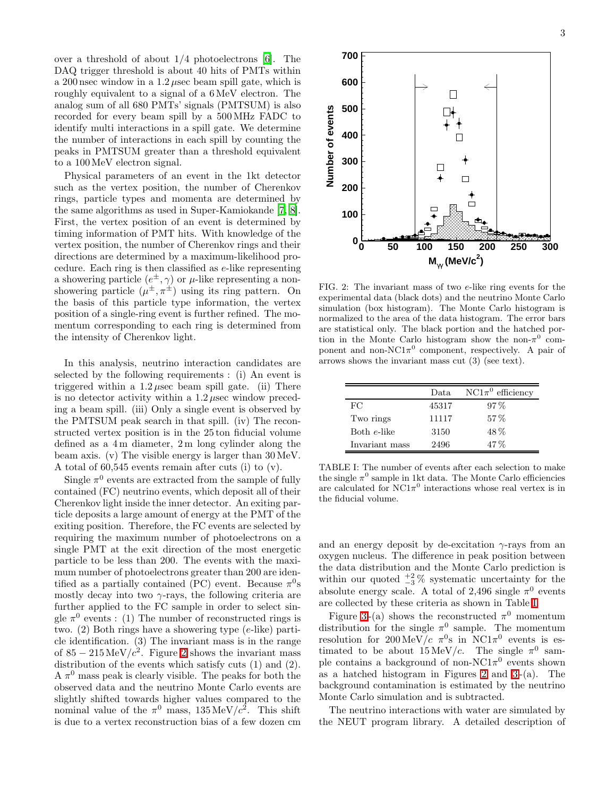over a threshold of about  $1/4$  photoelectrons [\[6](#page-5-5)]. The DAQ trigger threshold is about 40 hits of PMTs within a 200 nsec window in a 1.2 µsec beam spill gate, which is roughly equivalent to a signal of a 6 MeV electron. The analog sum of all 680 PMTs' signals (PMTSUM) is also recorded for every beam spill by a 500 MHz FADC to identify multi interactions in a spill gate. We determine the number of interactions in each spill by counting the peaks in PMTSUM greater than a threshold equivalent to a 100MeV electron signal.

Physical parameters of an event in the 1kt detector such as the vertex position, the number of Cherenkov rings, particle types and momenta are determined by the same algorithms as used in Super-Kamiokande [\[7,](#page-5-6) [8\]](#page-5-7). First, the vertex position of an event is determined by timing information of PMT hits. With knowledge of the vertex position, the number of Cherenkov rings and their directions are determined by a maximum-likelihood procedure. Each ring is then classified as e-like representing a showering particle  $(e^{\pm}, \gamma)$  or  $\mu$ -like representing a nonshowering particle  $(\mu^{\pm}, \pi^{\pm})$  using its ring pattern. On the basis of this particle type information, the vertex position of a single-ring event is further refined. The momentum corresponding to each ring is determined from the intensity of Cherenkov light.

In this analysis, neutrino interaction candidates are selected by the following requirements : (i) An event is triggered within a  $1.2 \mu$ sec beam spill gate. (ii) There is no detector activity within a  $1.2 \mu$ sec window preceding a beam spill. (iii) Only a single event is observed by the PMTSUM peak search in that spill. (iv) The reconstructed vertex position is in the 25 ton fiducial volume defined as a 4 m diameter, 2 m long cylinder along the beam axis. (v) The visible energy is larger than 30 MeV. A total of 60,545 events remain after cuts (i) to (v).

Single  $\pi^0$  events are extracted from the sample of fully contained (FC) neutrino events, which deposit all of their Cherenkov light inside the inner detector. An exiting particle deposits a large amount of energy at the PMT of the exiting position. Therefore, the FC events are selected by requiring the maximum number of photoelectrons on a single PMT at the exit direction of the most energetic particle to be less than 200. The events with the maximum number of photoelectrons greater than 200 are identified as a partially contained (PC) event. Because  $\pi^0$ s mostly decay into two  $\gamma$ -rays, the following criteria are further applied to the FC sample in order to select single  $\pi^0$  events : (1) The number of reconstructed rings is two. (2) Both rings have a showering type (e-like) particle identification. (3) The invariant mass is in the range of  $85 - 215 \,\mathrm{MeV}/c^2$  $85 - 215 \,\mathrm{MeV}/c^2$  $85 - 215 \,\mathrm{MeV}/c^2$ . Figure 2 shows the invariant mass distribution of the events which satisfy cuts (1) and (2).  $A \pi^0$  mass peak is clearly visible. The peaks for both the observed data and the neutrino Monte Carlo events are slightly shifted towards higher values compared to the nominal value of the  $\pi^0$  mass,  $135 \,\text{MeV}/c^2$ . This shift is due to a vertex reconstruction bias of a few dozen cm



<span id="page-2-0"></span>FIG. 2: The invariant mass of two e-like ring events for the experimental data (black dots) and the neutrino Monte Carlo simulation (box histogram). The Monte Carlo histogram is normalized to the area of the data histogram. The error bars are statistical only. The black portion and the hatched portion in the Monte Carlo histogram show the non- $\pi^0$  component and non-NC1 $\pi^0$  component, respectively. A pair of arrows shows the invariant mass cut (3) (see text).

|                | Data  | $NC1\pi^0$ efficiency |
|----------------|-------|-----------------------|
| FC             | 45317 | $97\%$                |
| Two rings      | 11117 | $57\%$                |
| Both e-like    | 3150  | 48%                   |
| Invariant mass | 2496  | $47\%$                |

<span id="page-2-1"></span>TABLE I: The number of events after each selection to make the single  $\pi^0$  sample in 1kt data. The Monte Carlo efficiencies are calculated for  $NC1\pi^0$  interactions whose real vertex is in the fiducial volume.

and an energy deposit by de-excitation  $\gamma$ -rays from an oxygen nucleus. The difference in peak position between the data distribution and the Monte Carlo prediction is within our quoted  $\frac{+2}{3}$ % systematic uncertainty for the absolute energy scale. A total of 2,496 single  $\pi^0$  events are collected by these criteria as shown in Table [I.](#page-2-1)

Figure [3](#page-3-0)-(a) shows the reconstructed  $\pi^0$  momentum distribution for the single  $\pi^0$  sample. The momentum resolution for  $200 \,\mathrm{MeV}/c$   $\pi^0$ s in NC1 $\pi^0$  events is estimated to be about  $15 \text{ MeV}/c$ . The single  $\pi^0$  sample contains a background of non-NC1 $\pi$ <sup>0</sup> events shown as a hatched histogram in Figures [2](#page-2-0) and  $3-(a)$ . The background contamination is estimated by the neutrino Monte Carlo simulation and is subtracted.

The neutrino interactions with water are simulated by the NEUT program library. A detailed description of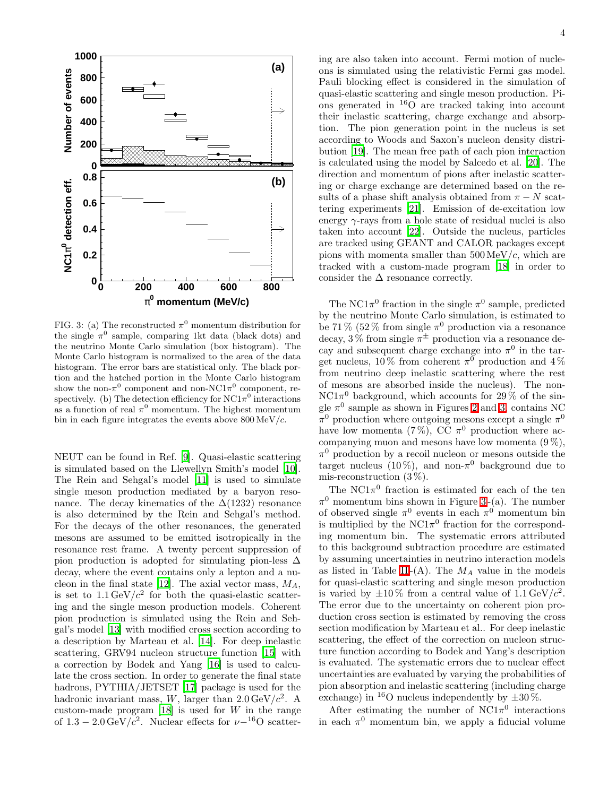

<span id="page-3-0"></span>FIG. 3: (a) The reconstructed  $\pi^0$  momentum distribution for the single  $\pi^0$  sample, comparing 1kt data (black dots) and the neutrino Monte Carlo simulation (box histogram). The Monte Carlo histogram is normalized to the area of the data histogram. The error bars are statistical only. The black portion and the hatched portion in the Monte Carlo histogram show the non- $\pi^0$  component and non-NC1 $\pi^0$  component, respectively. (b) The detection efficiency for  $NC1\pi^0$  interactions as a function of real  $\pi^0$  momentum. The highest momentum bin in each figure integrates the events above  $800 \,\mathrm{MeV}/c$ .

NEUT can be found in Ref. [\[9](#page-5-8)]. Quasi-elastic scattering is simulated based on the Llewellyn Smith's model [\[10\]](#page-5-9). The Rein and Sehgal's model [\[11\]](#page-5-10) is used to simulate single meson production mediated by a baryon resonance. The decay kinematics of the  $\Delta(1232)$  resonance is also determined by the Rein and Sehgal's method. For the decays of the other resonances, the generated mesons are assumed to be emitted isotropically in the resonance rest frame. A twenty percent suppression of pion production is adopted for simulating pion-less  $\Delta$ decay, where the event contains only a lepton and a nu-cleon in the final state [\[12\]](#page-5-11). The axial vector mass,  $M_A$ , is set to  $1.1 \,\text{GeV}/c^2$  for both the quasi-elastic scattering and the single meson production models. Coherent pion production is simulated using the Rein and Sehgal's model [\[13\]](#page-5-12) with modified cross section according to a description by Marteau et al. [\[14](#page-5-13)]. For deep inelastic scattering, GRV94 nucleon structure function [\[15\]](#page-5-14) with a correction by Bodek and Yang [\[16](#page-5-15)] is used to calculate the cross section. In order to generate the final state hadrons, PYTHIA/JETSET [\[17](#page-5-16)] package is used for the hadronic invariant mass, W, larger than  $2.0 \,\text{GeV}/c^2$ . A custom-made program  $[18]$  is used for W in the range of  $1.3 - 2.0 \,\text{GeV}/c^2$ . Nuclear effects for  $\nu-$ <sup>16</sup>O scattering are also taken into account. Fermi motion of nucleons is simulated using the relativistic Fermi gas model. Pauli blocking effect is considered in the simulation of quasi-elastic scattering and single meson production. Pions generated in <sup>16</sup>O are tracked taking into account their inelastic scattering, charge exchange and absorption. The pion generation point in the nucleus is set according to Woods and Saxon's nucleon density distribution [\[19](#page-5-18)]. The mean free path of each pion interaction is calculated using the model by Salcedo et al. [\[20\]](#page-5-19). The direction and momentum of pions after inelastic scattering or charge exchange are determined based on the results of a phase shift analysis obtained from  $\pi - N$  scattering experiments [\[21\]](#page-5-20). Emission of de-excitation low energy  $\gamma$ -rays from a hole state of residual nuclei is also taken into account [\[22\]](#page-5-21). Outside the nucleus, particles are tracked using GEANT and CALOR packages except pions with momenta smaller than  $500 \,\mathrm{MeV}/c$ , which are tracked with a custom-made program [\[18\]](#page-5-17) in order to consider the  $\Delta$  resonance correctly.

The NC1 $\pi^0$  fraction in the single  $\pi^0$  sample, predicted by the neutrino Monte Carlo simulation, is estimated to be 71% (52% from single  $\pi^0$  production via a resonance decay,  $3\%$  from single  $\pi^{\pm}$  production via a resonance decay and subsequent charge exchange into  $\pi^0$  in the target nucleus,  $10\%$  from coherent  $\pi^0$  production and  $4\%$ from neutrino deep inelastic scattering where the rest of mesons are absorbed inside the nucleus). The non- $NC1\pi^0$  background, which accounts for 29% of the single  $\pi^0$  sample as shown in Figures [2](#page-2-0) and [3,](#page-3-0) contains NC  $\pi^0$  production where outgoing mesons except a single  $\pi^0$ have low momenta (7%), CC  $\pi^0$  production where accompanying muon and mesons have low momenta  $(9\%)$ ,  $\pi^0$  production by a recoil nucleon or mesons outside the target nucleus  $(10\%)$ , and non- $\pi^0$  background due to mis-reconstruction  $(3\%)$ .

The  $NC1\pi^0$  fraction is estimated for each of the ten  $\pi^0$  momentum bins shown in Figure [3](#page-3-0)-(a). The number of observed single  $\pi^0$  events in each  $\pi^0$  momentum bin is multiplied by the  $NC1\pi^0$  fraction for the corresponding momentum bin. The systematic errors attributed to this background subtraction procedure are estimated by assuming uncertainties in neutrino interaction models as listed in Table [II](#page-4-0)-(A). The  $M_A$  value in the models for quasi-elastic scattering and single meson production is varied by  $\pm 10\%$  from a central value of 1.1 GeV/ $c^2$ . The error due to the uncertainty on coherent pion production cross section is estimated by removing the cross section modification by Marteau et al.. For deep inelastic scattering, the effect of the correction on nucleon structure function according to Bodek and Yang's description is evaluated. The systematic errors due to nuclear effect uncertainties are evaluated by varying the probabilities of pion absorption and inelastic scattering (including charge exchange) in <sup>16</sup>O nucleus independently by  $\pm 30\%$ .

After estimating the number of  $NC1\pi^0$  interactions in each  $\pi^0$  momentum bin, we apply a fiducial volume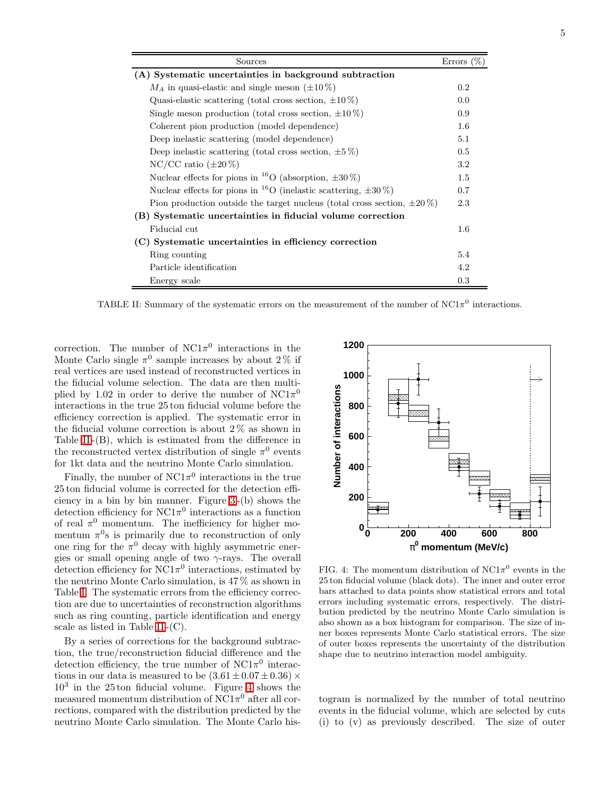| Sources                                                                          |     |  |
|----------------------------------------------------------------------------------|-----|--|
| (A) Systematic uncertainties in background subtraction                           |     |  |
| $M_A$ in quasi-elastic and single meson ( $\pm 10\%$ )                           |     |  |
| Quasi-elastic scattering (total cross section, $\pm 10\%$ )                      |     |  |
| Single meson production (total cross section, $\pm 10\%$ )                       |     |  |
| Coherent pion production (model dependence)                                      |     |  |
| Deep inelastic scattering (model dependence)                                     |     |  |
| Deep inelastic scattering (total cross section, $\pm 5\%$ )                      |     |  |
| $NC/CC$ ratio $(\pm 20\%)$                                                       |     |  |
| Nuclear effects for pions in <sup>16</sup> O (absorption, $\pm 30\%$ )           |     |  |
| Nuclear effects for pions in <sup>16</sup> O (inelastic scattering, $\pm 30\%$ ) |     |  |
| Pion production outside the target nucleus (total cross section, $\pm 20\%$ )    |     |  |
| (B) Systematic uncertainties in fiducial volume correction                       |     |  |
| Fiducial cut                                                                     | 1.6 |  |
| (C) Systematic uncertainties in efficiency correction                            |     |  |
| Ring counting                                                                    | 5.4 |  |
| Particle identification                                                          | 4.2 |  |
| Energy scale                                                                     | 0.3 |  |

<span id="page-4-0"></span>TABLE II: Summary of the systematic errors on the measurement of the number of NC1 $\pi^0$  interactions.

correction. The number of  $NC1\pi^0$  interactions in the Monte Carlo single  $\pi^0$  sample increases by about 2% if real vertices are used instead of reconstructed vertices in the fiducial volume selection. The data are then multiplied by 1.02 in order to derive the number of  $NC1\pi^0$ interactions in the true 25 ton fiducial volume before the efficiency correction is applied. The systematic error in the fiducial volume correction is about  $2\%$  as shown in Table [II](#page-4-0) -(B), which is estimated from the difference in the reconstructed vertex distribution of single  $\pi^0$  events for 1kt data and the neutrino Monte Carlo simulation.

Finally, the number of  $NC1\pi^0$  interactions in the true 25 ton fiducial volume is corrected for the detection efficiency in a bin by bin manner. Figure [3](#page-3-0) -(b) shows the detection efficiency for  $NC1\pi^0$  interactions as a function of real  $\pi^0$  momentum. The inefficiency for higher momentum  $\pi^0$ s is primarily due to reconstruction of only one ring for the  $\pi^0$  decay with highly asymmetric energies or small opening angle of two  $\gamma$ -rays. The overall detection efficiency for  $NCl_{\pi}^0$  interactions, estimated by the neutrino Monte Carlo simulation, is 47 % as shown in Table [I.](#page-2-1) The systematic errors from the efficiency correction are due to uncertainties of reconstruction algorithms such as ring counting, particle identification and energy scale as listed in Table [II](#page-4-0) -(C).

By a series of corrections for the background subtraction, the true/reconstruction fiducial difference and the detection efficiency, the true number of  $NC1\pi^0$  interactions in our data is measured to be  $(3.61 \pm 0.07 \pm 0.36) \times$ 10<sup>3</sup> in the 25 ton fiducial volume. Figure [4](#page-4-1) shows the measured momentum distribution of  $\mathrm{NC}1\pi^0$  after all corrections, compared with the distribution predicted by the neutrino Monte Carlo simulation. The Monte Carlo his-



<span id="page-4-1"></span>FIG. 4: The momentum distribution of  $NC1\pi^0$  events in the 25 ton fiducial volume (black dots). The inner and outer error bars attached to data points show statistical errors and total errors including systematic errors, respectively. The distribution predicted by the neutrino Monte Carlo simulation is also shown as a box histogram for comparison. The size of inner boxes represents Monte Carlo statistical errors. The size of outer boxes represents the uncertainty of the distribution shape due to neutrino interaction model ambiguity.

togram is normalized by the number of total neutrino events in the fiducial volume, which are selected by cuts (i) to (v) as previously described. The size of outer